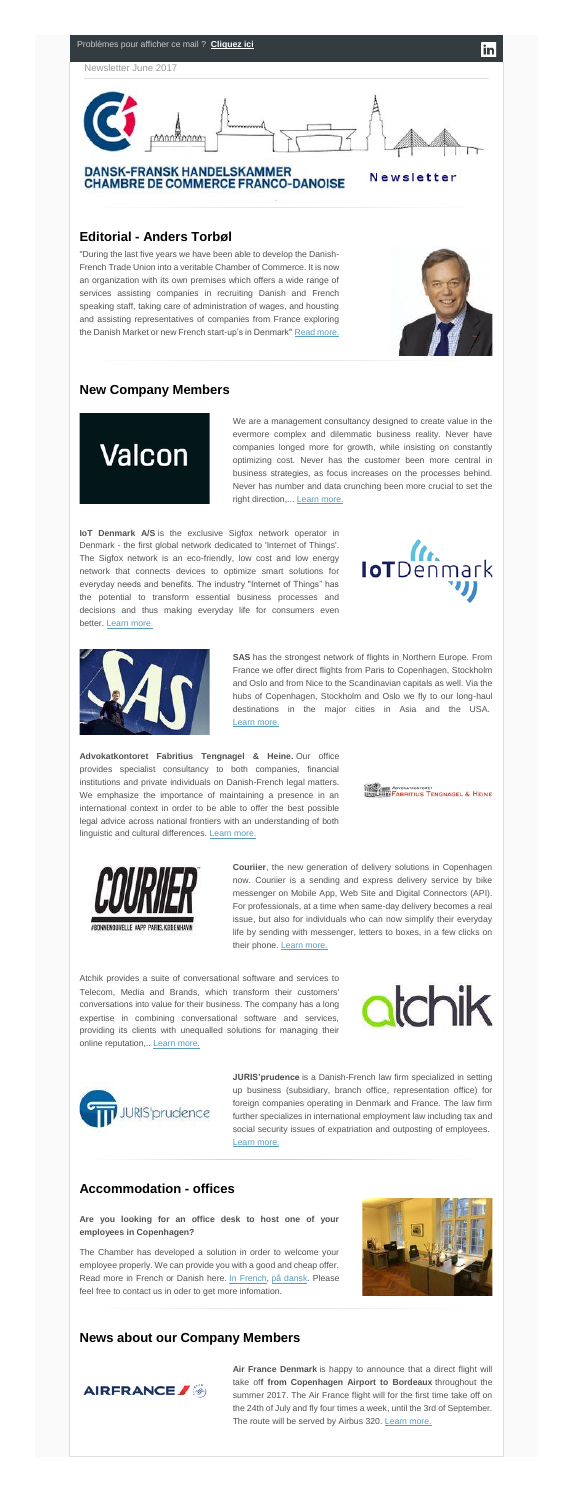

## **Editorial - Anders Torbøl**

"During the last five years we have been able to develop the Danish-French Trade Union into a veritable Chamber of Commerce. It is now an organization with its own premises which offers a wide range of services assisting companies in recruiting Danish and French speaking staff, taking care of administration of wages, and housting and assisting representatives of companies from France exploring the Danish Market or new French start-up's in Denmark" [Read more.](http://www.dansk-fransk.dk/index.php?id=33896)



# **New Company Members**



We are a management consultancy designed to create value in the evermore complex and dilemmatic business reality. Never have companies longed more for growth, while insisting on constantly optimizing cost. Never has the customer been more central in business strategies, as focus increases on the processes behind. Never has number and data crunching been more crucial to set the right direction,... [Learn more.](http://www.dansk-fransk.dk/index.php?id=33796&L=0)

**IoT Denmark A/S** is the exclusive Sigfox network operator in Denmark - the first global network dedicated to 'Internet of Things'. The Sigfox network is an eco-friendly, low cost and low energy network that connects devices to optimize smart solutions for everyday needs and benefits. The industry "Internet of Things" has the potential to transform essential business processes and decisions and thus making everyday life for consumers even better. [Learn more.](http://www.dansk-fransk.dk/index.php?id=33800&L=0)





**Couriier**, the new generation of delivery solutions in Copenhagen now. Couriier is a sending and express delivery service by bike messenger on Mobile App, Web Site and Digital Connectors (API). For professionals, at a time when same-day delivery becomes a real issue, but also for individuals who can now simplify their everyday life by sending with messenger, letters to boxes, in a few clicks on their phone. [Learn more.](http://www.dansk-fransk.dk/index.php?id=33805)

**SAS** has the strongest network of flights in Northern Europe. From France we offer direct flights from Paris to Copenhagen, Stockholm and Oslo and from Nice to the Scandinavian capitals as well. Via the hubs of Copenhagen, Stockholm and Oslo we fly to our long-haul destinations in the major cities in Asia and the USA. [Learn more.](http://www.dansk-fransk.dk/index.php?id=33801&L=0)

**Air France Denmark** is happy to announce that a direct flight will take of**f from Copenhagen Airport to Bordeaux** throughout the summer 2017. The Air France flight will for the first time take off on the 24th of July and fly four times a week, until the 3rd of September. The route will be served by Airbus 320. [Learn more.](http://www.dansk-fransk.dk/single-news/n/from-copenhagen-airport-to-bordeaux/)

**Advokatkontoret Fabritius Tengnagel & Heine.** Our office provides specialist consultancy to both companies, financial institutions and private individuals on Danish-French legal matters. We emphasize the importance of maintaining a presence in an international context in order to be able to offer the best possible legal advice across national frontiers with an understanding of both linguistic and cultural differences. [Learn more.](http://www.dansk-fransk.dk/index.php?id=33802)

**ADVOKATEGRITIUS TENGNAGEL & HEINE**<br>Burthamet Fabritius Tengnagel & Heine



Atchik provides a suite of conversational software and services to Telecom, Media and Brands, which transform their customers' conversations into value for their business. The company has a long expertise in combining conversational software and services, providing its clients with unequalled solutions for managing their online reputation,.. [Learn more.](http://www.dansk-fransk.dk/index.php?id=33807&L=0)

**atchik** 



**JURIS'prudence** is a Danish-French law firm specialized in setting up business (subsidiary, branch office, representation office) for foreign companies operating in Denmark and France. The law firm further specializes in international employment law including tax and social security issues of expatriation and outposting of employees. [Learn more.](http://www.dansk-fransk.dk/index.php?id=33806)

### **Accommodation - offices**

**Are you looking for an office desk to host one of your employees in Copenhagen?**

The Chamber has developed a solution in order to welcome your employee properly. We can provide you with a good and cheap offer. Read more in French or Danish here. [In French,](http://www.dansk-fransk.dk/services-aux-entreprises/hebergement-bureaux/) [på dansk.](http://www.dansk-fransk.dk/dk/service-til-virksomheder/indlogering-i-danmark/) Please feel free to contact us in oder to get more infomation.



# **News about our Company Members**

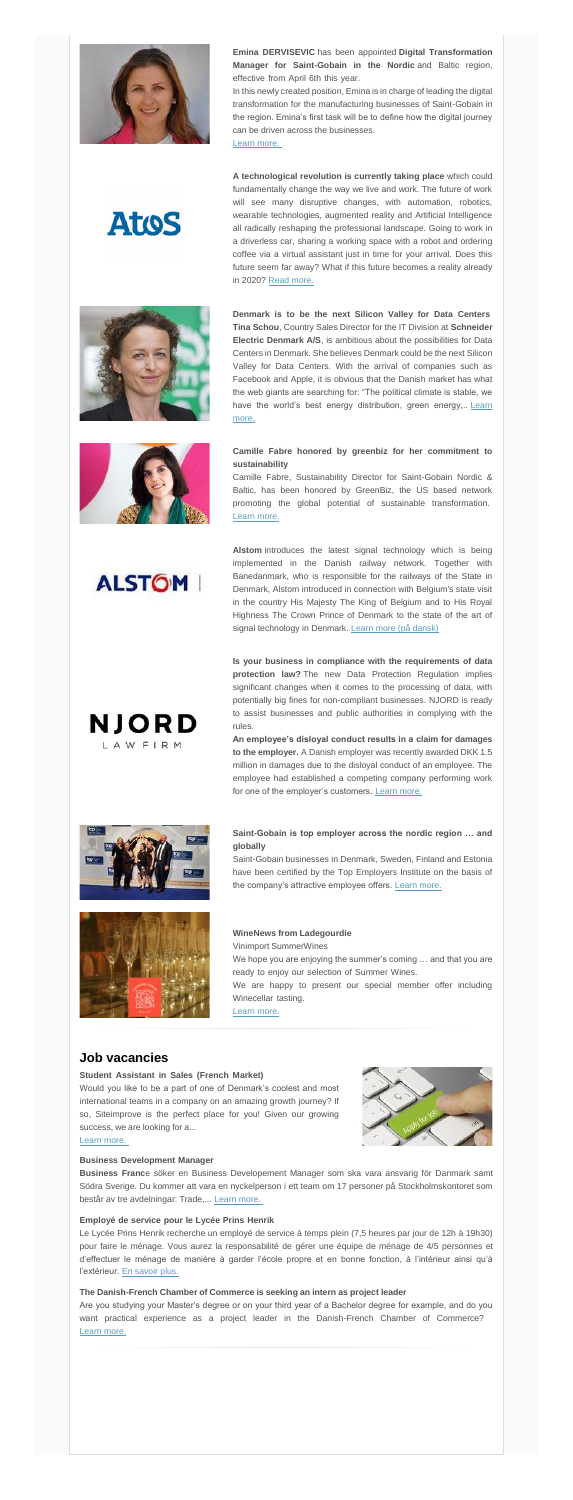

AtoS

**Emina DERVISEVIC** has been appointed **Digital Transformation Manager for Saint-Gobain in the Nordic** and Baltic region, effective from April 6th this year.

In this newly created position, Emina is in charge of leading the digital transformation for the manufacturing businesses of Saint-Gobain in the region. Emina's first task will be to define how the digital journey can be driven across the businesses.

[Learn more.](http://www.dansk-fransk.dk/index.php?id=8336&no_cache=1&tx_news_pi1%5Bnews_preview%5D=54755)

**A technological revolution is currently taking place** which could fundamentally change the way we live and work. The future of work will see many disruptive changes, with automation, robotics, wearable technologies, augmented reality and Artificial Intelligence all radically reshaping the professional landscape. Going to work in a driverless car, sharing a working space with a robot and ordering coffee via a virtual assistant just in time for your arrival. Does this future seem far away? What if this future becomes a reality already in 2020? [Read more.](http://www.dansk-fransk.dk/single-news/n/how-will-you-be-working-in-2020/)



**Alstom** introduces the latest signal technology which is being implemented in the Danish railway network. Together with Banedanmark, who is responsible for the railways of the State in Denmark, Alstom introduced in connection with Belgium's state visit in the country His Majesty The King of Belgium and to His Royal Highness The Crown Prince of Denmark to the state of the art of signal technology in Denmark. [Learn more \(på dansk\)](http://news.cision.com/dk/alstom-sverige/r/alstom-praesenterer-den-nyeste-signalteknologi--som-er-under-implementering-i-det-danske-jernbanenet,c2227045)

**Denmark is to be the next Silicon Valley for Data Centers Tina Schou**, Country Sales Director for the IT Division at **Schneider Electric Denmark A/S**, is ambitious about the possibilities for Data Centers in Denmark. She believes Denmark could be the next Silicon Valley for Data Centers. With the arrival of companies such as Facebook and Apple, it is obvious that the Danish market has what the web giants are searching for: "The political climate is stable, we have the world's best energy distribution, green energy,.. Learn [more.](http://www.dansk-fransk.dk/single-news/n/denmark-is-to-be-the-next-silicon-valley-for-data-centers/)

**An employee's disloyal conduct results in a claim for damages to the employer.** A Danish employer was recently awarded DKK 1.5 million in damages due to the disloyal conduct of an employee. The employee had established a competing company performing work for one of the employer's customers. [Learn more.](https://www.njordlaw.com/an-employees-disloyal-conduct-results-in-a-claim-for-damages-to-the-employer/)



NJORD

LAW FIRM

have been certified by the Top Employers Institute on the basis of the company's attractive employee offers. [Learn more.](http://www.dansk-fransk.dk/index.php?id=8336&no_cache=1&tx_news_pi1%5Bnews_preview%5D=54761)

### **Camille Fabre honored by greenbiz for her commitment to sustainability**

We hope you are enjoying the summer's coming … and that you are ready to enjoy our selection of Summer Wines.

We are happy to present our special member offer including Winecellar tasting.

Camille Fabre, Sustainability Director for Saint-Gobain Nordic & Baltic, has been honored by GreenBiz, the US based network promoting the global potential of sustainable transformation. [Learn more.](http://www.dansk-fransk.dk/index.php?id=8336&no_cache=1&tx_news_pi1%5Bnews_preview%5D=54758)

Would you like to be a part of one of Denmark's coolest and most international teams in a company on an amazing growth journey? If so, Siteimprove is the perfect place for you! Given our growing success, we are looking for a...



Le Lycée Prins Henrik recherche un employé de service à temps plein (7,5 heures par jour de 12h à 19h30) pour faire le ménage. Vous aurez la responsabilité de gérer une équipe de ménage de 4/5 personnes et d'effectuer le ménage de manière à garder l'école propre et en bonne fonction, à l'intérieur ainsi qu'à l'extérieur. [En savoir plus.](http://www.dansk-fransk.dk/index.php?id=29901&L=0)

**Is your business in compliance with the requirements of data protection law?** The new Data Protection Regulation implies significant changes when it comes to the processing of data, with potentially big fines for non-compliant businesses. NJORD is ready to assist businesses and public authorities in complying with the rules.

**Saint-Gobain is top employer across the nordic region … and globally**

Saint-Gobain businesses in Denmark, Sweden, Finland and Estonia





**ALSTOM** 



#### **WineNews from Ladegourdie**…………………………………………

Vinimport SummerWines…………………………………………………

[Learn more.](http://www.dansk-fransk.dk/index.php?id=8336&no_cache=1&tx_news_pi1%5Bnews_preview%5D=54763)

### **Job vacancies**

#### **Student Assistant in Sales (French Market)** ……………………

[Learn more.](http://www.dansk-fransk.dk/index.php?id=33775)

#### **Business Development Manager**……………………………………………………………………………………

**Business Franc**e söker en Business Developement Manager som ska vara ansvarig för Danmark samt Södra Sverige. Du kommer att vara en nyckelperson i ett team om 17 personer på Stockholmskontoret som består av tre avdelningar: Trade,... [Learn more.](http://www.dansk-fransk.dk/index.php?id=33773)

#### **Employé de service pour le Lycée Prins Henrik**…………………………………………………………………

#### **The Danish-French Chamber of Commerce is seeking an intern as project leader**…………………………

Are you studying your Master's degree or on your third year of a Bachelor degree for example, and do you want practical experience as a project leader in the Danish-French Chamber of Commerce? [Learn more.](http://www.dansk-fransk.dk/index.php?id=32245)